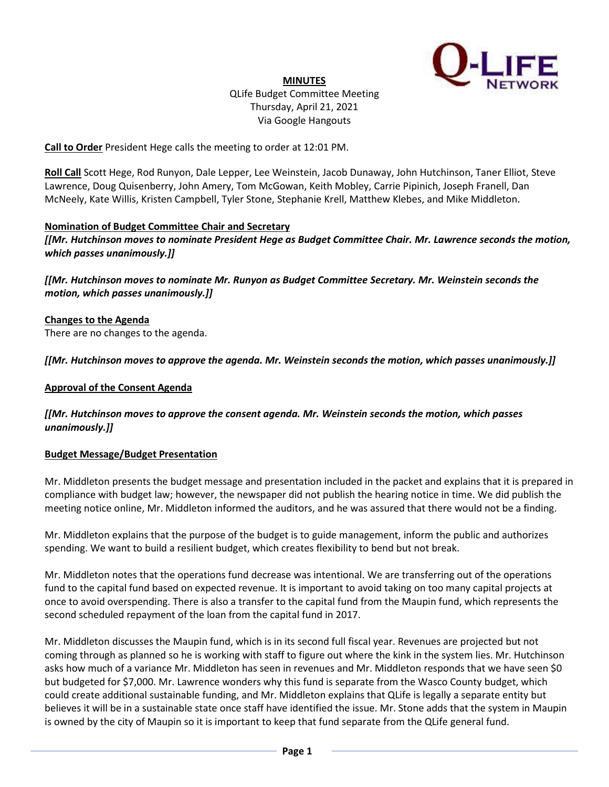

**MINUTES** QLife Budget Committee Meeting Thursday, April 21, 2021 Via Google Hangouts

**Call to Order** President Hege calls the meeting to order at 12:01 PM.

**Roll Call** Scott Hege, Rod Runyon, Dale Lepper, Lee Weinstein, Jacob Dunaway, John Hutchinson, Taner Elliot, Steve Lawrence, Doug Quisenberry, John Amery, Tom McGowan, Keith Mobley, Carrie Pipinich, Joseph Franell, Dan McNeely, Kate Willis, Kristen Campbell, Tyler Stone, Stephanie Krell, Matthew Klebes, and Mike Middleton.

#### **Nomination of Budget Committee Chair and Secretary**

*[[Mr. Hutchinson moves to nominate President Hege as Budget Committee Chair. Mr. Lawrence seconds the motion, which passes unanimously.]]*

*[[Mr. Hutchinson moves to nominate Mr. Runyon as Budget Committee Secretary. Mr. Weinstein seconds the motion, which passes unanimously.]]*

**Changes to the Agenda** There are no changes to the agenda.

*[[Mr. Hutchinson moves to approve the agenda. Mr. Weinstein seconds the motion, which passes unanimously.]]*

## **Approval of the Consent Agenda**

*[[Mr. Hutchinson moves to approve the consent agenda. Mr. Weinstein seconds the motion, which passes unanimously.]]*

#### **Budget Message/Budget Presentation**

Mr. Middleton presents the budget message and presentation included in the packet and explains that it is prepared in compliance with budget law; however, the newspaper did not publish the hearing notice in time. We did publish the meeting notice online, Mr. Middleton informed the auditors, and he was assured that there would not be a finding.

Mr. Middleton explains that the purpose of the budget is to guide management, inform the public and authorizes spending. We want to build a resilient budget, which creates flexibility to bend but not break.

Mr. Middleton notes that the operations fund decrease was intentional. We are transferring out of the operations fund to the capital fund based on expected revenue. It is important to avoid taking on too many capital projects at once to avoid overspending. There is also a transfer to the capital fund from the Maupin fund, which represents the second scheduled repayment of the loan from the capital fund in 2017.

Mr. Middleton discusses the Maupin fund, which is in its second full fiscal year. Revenues are projected but not coming through as planned so he is working with staff to figure out where the kink in the system lies. Mr. Hutchinson asks how much of a variance Mr. Middleton has seen in revenues and Mr. Middleton responds that we have seen \$0 but budgeted for \$7,000. Mr. Lawrence wonders why this fund is separate from the Wasco County budget, which could create additional sustainable funding, and Mr. Middleton explains that QLife is legally a separate entity but believes it will be in a sustainable state once staff have identified the issue. Mr. Stone adds that the system in Maupin is owned by the city of Maupin so it is important to keep that fund separate from the QLife general fund.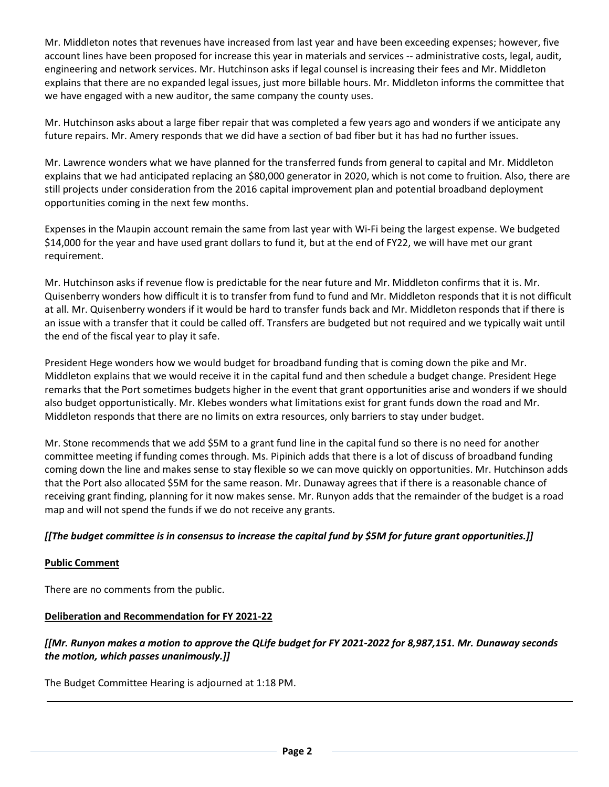Mr. Middleton notes that revenues have increased from last year and have been exceeding expenses; however, five account lines have been proposed for increase this year in materials and services -- administrative costs, legal, audit, engineering and network services. Mr. Hutchinson asks if legal counsel is increasing their fees and Mr. Middleton explains that there are no expanded legal issues, just more billable hours. Mr. Middleton informs the committee that we have engaged with a new auditor, the same company the county uses.

Mr. Hutchinson asks about a large fiber repair that was completed a few years ago and wonders if we anticipate any future repairs. Mr. Amery responds that we did have a section of bad fiber but it has had no further issues.

Mr. Lawrence wonders what we have planned for the transferred funds from general to capital and Mr. Middleton explains that we had anticipated replacing an \$80,000 generator in 2020, which is not come to fruition. Also, there are still projects under consideration from the 2016 capital improvement plan and potential broadband deployment opportunities coming in the next few months.

Expenses in the Maupin account remain the same from last year with Wi-Fi being the largest expense. We budgeted \$14,000 for the year and have used grant dollars to fund it, but at the end of FY22, we will have met our grant requirement.

Mr. Hutchinson asks if revenue flow is predictable for the near future and Mr. Middleton confirms that it is. Mr. Quisenberry wonders how difficult it is to transfer from fund to fund and Mr. Middleton responds that it is not difficult at all. Mr. Quisenberry wonders if it would be hard to transfer funds back and Mr. Middleton responds that if there is an issue with a transfer that it could be called off. Transfers are budgeted but not required and we typically wait until the end of the fiscal year to play it safe.

President Hege wonders how we would budget for broadband funding that is coming down the pike and Mr. Middleton explains that we would receive it in the capital fund and then schedule a budget change. President Hege remarks that the Port sometimes budgets higher in the event that grant opportunities arise and wonders if we should also budget opportunistically. Mr. Klebes wonders what limitations exist for grant funds down the road and Mr. Middleton responds that there are no limits on extra resources, only barriers to stay under budget.

Mr. Stone recommends that we add \$5M to a grant fund line in the capital fund so there is no need for another committee meeting if funding comes through. Ms. Pipinich adds that there is a lot of discuss of broadband funding coming down the line and makes sense to stay flexible so we can move quickly on opportunities. Mr. Hutchinson adds that the Port also allocated \$5M for the same reason. Mr. Dunaway agrees that if there is a reasonable chance of receiving grant finding, planning for it now makes sense. Mr. Runyon adds that the remainder of the budget is a road map and will not spend the funds if we do not receive any grants.

## *[[The budget committee is in consensus to increase the capital fund by \$5M for future grant opportunities.]]*

## **Public Comment**

There are no comments from the public.

#### **Deliberation and Recommendation for FY 2021-22**

# *[[Mr. Runyon makes a motion to approve the QLife budget for FY 2021-2022 for 8,987,151. Mr. Dunaway seconds the motion, which passes unanimously.]]*

The Budget Committee Hearing is adjourned at 1:18 PM.